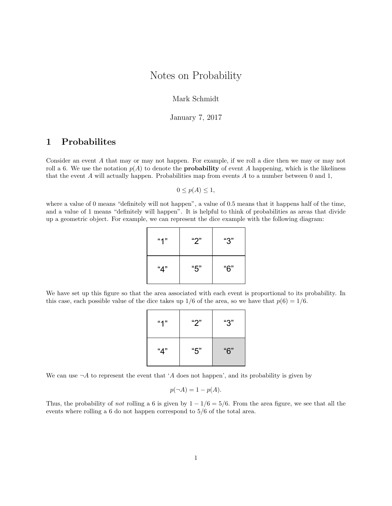# Notes on Probability

Mark Schmidt

January 7, 2017

## 1 Probabilites

Consider an event A that may or may not happen. For example, if we roll a dice then we may or may not roll a 6. We use the notation  $p(A)$  to denote the **probability** of event A happening, which is the likeliness that the event  $A$  will actually happen. Probabilities map from events  $A$  to a number between 0 and 1,

 $0 \leq p(A) \leq 1$ ,

where a value of 0 means "definitely will not happen", a value of 0.5 means that it happens half of the time, and a value of 1 means "definitely will happen". It is helpful to think of probabilities as areas that divide up a geometric object. For example, we can represent the dice example with the following diagram:

| 477 | " $2"$ | "З" |
|-----|--------|-----|
| "4" | "5"    | "6" |

We have set up this figure so that the area associated with each event is proportional to its probability. In this case, each possible value of the dice takes up  $1/6$  of the area, so we have that  $p(6) = 1/6$ .

| "1" | "2" | "З" |
|-----|-----|-----|
| "4" | "5" | "6" |

We can use  $\neg A$  to represent the event that 'A does not happen', and its probability is given by

$$
p(\neg A) = 1 - p(A).
$$

Thus, the probability of not rolling a 6 is given by  $1 - 1/6 = 5/6$ . From the area figure, we see that all the events where rolling a 6 do not happen correspond to 5/6 of the total area.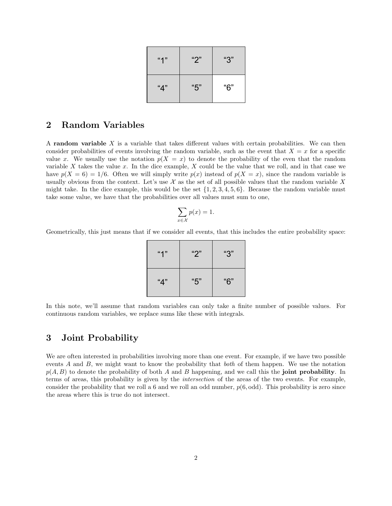| "1" | "2" | " $3"$ |
|-----|-----|--------|
| "4" | "5" | "6"    |

### 2 Random Variables

A random variable  $X$  is a variable that takes different values with certain probabilities. We can then consider probabilities of events involving the random variable, such as the event that  $X = x$  for a specific value x. We usually use the notation  $p(X = x)$  to denote the probability of the even that the random variable X takes the value x. In the dice example, X could be the value that we roll, and in that case we have  $p(X = 6) = 1/6$ . Often we will simply write  $p(x)$  instead of  $p(X = x)$ , since the random variable is usually obvious from the context. Let's use  $\mathcal X$  as the set of all possible values that the random variable X might take. In the dice example, this would be the set  $\{1, 2, 3, 4, 5, 6\}$ . Because the random variable must take some value, we have that the probabilities over all values must sum to one,

$$
\sum_{x \in \mathcal{X}} p(x) = 1.
$$

Geometrically, this just means that if we consider all events, that this includes the entire probability space:

| "1" | "2" | " $3"$ |
|-----|-----|--------|
| "4" | "5" | "6"    |

In this note, we'll assume that random variables can only take a finite number of possible values. For continuous random variables, we replace sums like these with integrals.

#### 3 Joint Probability

We are often interested in probabilities involving more than one event. For example, if we have two possible events A and B, we might want to know the probability that *both* of them happen. We use the notation  $p(A, B)$  to denote the probability of both A and B happening, and we call this the joint probability. In terms of areas, this probability is given by the intersection of the areas of the two events. For example, consider the probability that we roll a 6 and we roll an odd number,  $p(6, odd)$ . This probability is zero since the areas where this is true do not intersect.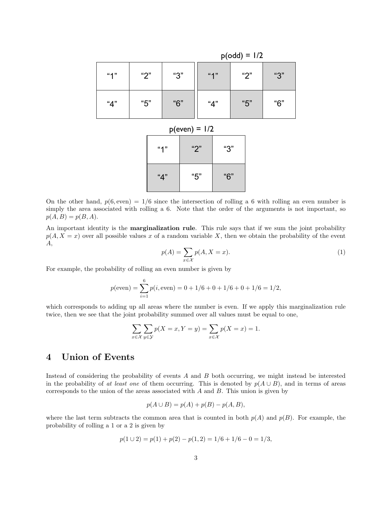|                 |        |  | $p(odd) = 1/2$ |  |        |     |        |     |
|-----------------|--------|--|----------------|--|--------|-----|--------|-----|
| "1"             | " $2"$ |  | "З"            |  |        | "1" | " $2"$ | "3" |
| "4"             | "5"    |  | "6"            |  | " $4"$ |     | "5"    | "6" |
| $p(even) = 1/2$ |        |  |                |  |        |     |        |     |
| "2"<br>4"       |        |  |                |  |        | "З" |        |     |

| "4" | "5" | "6" |
|-----|-----|-----|

On the other hand,  $p(6, \text{even}) = 1/6$  since the intersection of rolling a 6 with rolling an even number is simply the area associated with rolling a 6. Note that the order of the arguments is not important, so  $p(A, B) = p(B, A).$ 

An important identity is the **marginalization rule**. This rule says that if we sum the joint probability  $p(A, X = x)$  over all possible values x of a random variable X, then we obtain the probability of the event A,

$$
p(A) = \sum_{x \in \mathcal{X}} p(A, X = x).
$$
\n(1)

For example, the probability of rolling an even number is given by

$$
p(\text{even}) = \sum_{i=1}^{6} p(i, \text{even}) = 0 + 1/6 + 0 + 1/6 + 0 + 1/6 = 1/2,
$$

which corresponds to adding up all areas where the number is even. If we apply this marginalization rule twice, then we see that the joint probability summed over all values must be equal to one,

$$
\sum_{x \in \mathcal{X}} \sum_{y \in \mathcal{Y}} p(X = x, Y = y) = \sum_{x \in \mathcal{X}} p(X = x) = 1.
$$

### 4 Union of Events

Instead of considering the probability of events A and B both occurring, we might instead be interested in the probability of at least one of them occurring. This is denoted by  $p(A \cup B)$ , and in terms of areas corresponds to the union of the areas associated with  $A$  and  $B$ . This union is given by

$$
p(A \cup B) = p(A) + p(B) - p(A, B),
$$

where the last term subtracts the common area that is counted in both  $p(A)$  and  $p(B)$ . For example, the probability of rolling a 1 or a 2 is given by

$$
p(1 \cup 2) = p(1) + p(2) - p(1, 2) = 1/6 + 1/6 - 0 = 1/3,
$$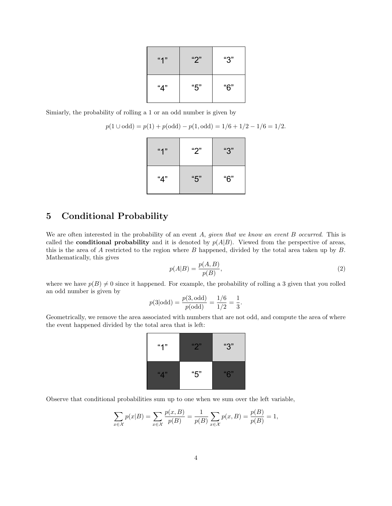| 477 | " $2"$ | "3" |
|-----|--------|-----|
| "4" | "5"    | "6" |

Simiarly, the probability of rolling a 1 or an odd number is given by

$$
p(1 \cup odd) = p(1) + p(odd) - p(1, odd) = 1/6 + 1/2 - 1/6 = 1/2.
$$

| "1" | "2"    | "3" |  |
|-----|--------|-----|--|
| "4" | " $5"$ | "6" |  |

## 5 Conditional Probability

We are often interested in the probability of an event  $A$ , given that we know an event  $B$  occurred. This is called the **conditional probability** and it is denoted by  $p(A|B)$ . Viewed from the perspective of areas, this is the area of  $A$  restricted to the region where  $B$  happened, divided by the total area taken up by  $B$ . Mathematically, this gives

$$
p(A|B) = \frac{p(A,B)}{p(B)},\tag{2}
$$

where we have  $p(B) \neq 0$  since it happened. For example, the probability of rolling a 3 given that you rolled an odd number is given by

$$
p(3|odd) = {p(3, odd) \over p(odd)} = {1/6 \over 1/2} = {1 \over 3}.
$$

Geometrically, we remove the area associated with numbers that are not odd, and compute the area of where the event happened divided by the total area that is left:

| "1" | $\mathfrak{g}$ | " $3"$            |
|-----|----------------|-------------------|
| "4" | "5"            | $"$ $\mathbb{C}"$ |

Observe that conditional probabilities sum up to one when we sum over the left variable,

$$
\sum_{x \in \mathcal{X}} p(x|B) = \sum_{x \in \mathcal{X}} \frac{p(x,B)}{p(B)} = \frac{1}{p(B)} \sum_{x \in \mathcal{X}} p(x,B) = \frac{p(B)}{p(B)} = 1,
$$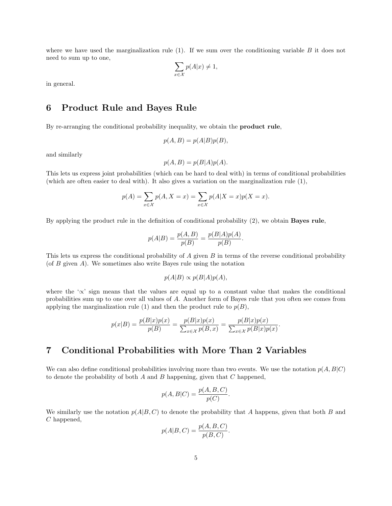where we have used the marginalization rule  $(1)$ . If we sum over the conditioning variable B it does not need to sum up to one,

$$
\sum_{x \in \mathcal{X}} p(A|x) \neq 1,
$$

in general.

#### 6 Product Rule and Bayes Rule

By re-arranging the conditional probability inequality, we obtain the product rule,

$$
p(A, B) = p(A|B)p(B),
$$

and similarly

$$
p(A, B) = p(B|A)p(A).
$$

This lets us express joint probabilities (which can be hard to deal with) in terms of conditional probabilities (which are often easier to deal with). It also gives a variation on the marginalization rule (1),

$$
p(A) = \sum_{x \in \mathcal{X}} p(A, X = x) = \sum_{x \in \mathcal{X}} p(A|X = x)p(X = x).
$$

By applying the product rule in the definition of conditional probability (2), we obtain Bayes rule,

$$
p(A|B) = \frac{p(A,B)}{p(B)} = \frac{p(B|A)p(A)}{p(B)}.
$$

This lets us express the conditional probability of A given B in terms of the reverse conditional probability (of  $B$  given  $A$ ). We sometimes also write Bayes rule using the notation

$$
p(A|B) \propto p(B|A)p(A),
$$

where the ' $\propto$ ' sign means that the values are equal up to a constant value that makes the conditional probabilities sum up to one over all values of A. Another form of Bayes rule that you often see comes from applying the marginalization rule (1) and then the product rule to  $p(B)$ ,

$$
p(x|B) = \frac{p(B|x)p(x)}{p(B)} = \frac{p(B|x)p(x)}{\sum_{x \in \mathcal{X}} p(B,x)} = \frac{p(B|x)p(x)}{\sum_{x \in \mathcal{X}} p(B|x)p(x)}.
$$

### 7 Conditional Probabilities with More Than 2 Variables

We can also define conditional probabilities involving more than two events. We use the notation  $p(A, B|C)$ to denote the probability of both  $A$  and  $B$  happening, given that  $C$  happened,

$$
p(A, B|C) = \frac{p(A, B, C)}{p(C)}.
$$

We similarly use the notation  $p(A|B, C)$  to denote the probability that A happens, given that both B and C happened,

$$
p(A|B,C) = \frac{p(A,B,C)}{p(B,C)}.
$$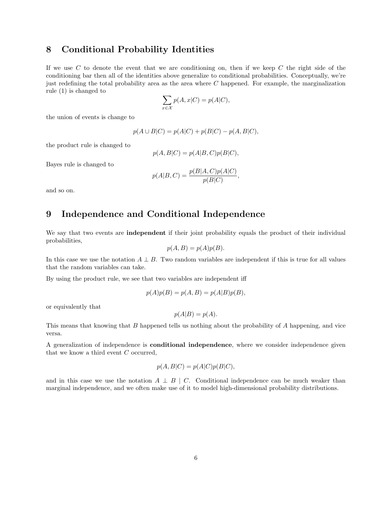#### 8 Conditional Probability Identities

If we use  $C$  to denote the event that we are conditioning on, then if we keep  $C$  the right side of the conditioning bar then all of the identities above generalize to conditional probabilities. Conceptually, we're just redefining the total probability area as the area where  $C$  happened. For example, the marginalization rule (1) is changed to

$$
\sum_{x \in \mathcal{X}} p(A, x | C) = p(A | C),
$$

the union of events is change to

$$
p(A \cup B|C) = p(A|C) + p(B|C) - p(A, B|C),
$$

the product rule is changed to

$$
p(A, B|C) = p(A|B, C)p(B|C),
$$

Bayes rule is changed to

$$
p(A|B,C) = \frac{p(B|A,C)p(A|C)}{p(B|C)},
$$

and so on.

## 9 Independence and Conditional Independence

We say that two events are **independent** if their joint probability equals the product of their individual probabilities,

$$
p(A, B) = p(A)p(B).
$$

In this case we use the notation  $A \perp B$ . Two random variables are independent if this is true for all values that the random variables can take.

By using the product rule, we see that two variables are independent iff

$$
p(A)p(B) = p(A, B) = p(A|B)p(B),
$$

or equivalently that

$$
p(A|B) = p(A).
$$

This means that knowing that B happened tells us nothing about the probability of A happening, and vice versa.

A generalization of independence is conditional independence, where we consider independence given that we know a third event C occurred,

$$
p(A, B|C) = p(A|C)p(B|C),
$$

and in this case we use the notation  $A \perp B \mid C$ . Conditional independence can be much weaker than marginal independence, and we often make use of it to model high-dimensional probability distributions.